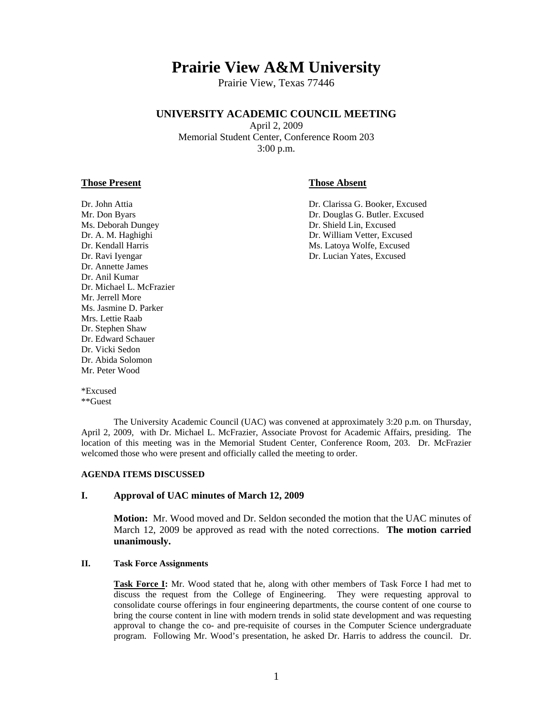# **Prairie View A&M University**

Prairie View, Texas 77446

# **UNIVERSITY ACADEMIC COUNCIL MEETING**

April 2, 2009 Memorial Student Center, Conference Room 203 3:00 p.m.

### **Those Present Those Absent**

Ms. Deborah Dungey Dr. Shield Lin, Excused Dr. Ravi Iyengar Dr. Lucian Yates, Excused Dr. Annette James Dr. Anil Kumar Dr. Michael L. McFrazier Mr. Jerrell More Ms. Jasmine D. Parker Mrs. Lettie Raab Dr. Stephen Shaw Dr. Edward Schauer Dr. Vicki Sedon Dr. Abida Solomon Mr. Peter Wood

Dr. John Attia Dr. Clarissa G. Booker, Excused Mr. Don Byars **Dr. Douglas G. Butler. Excused** Dr. A. M. Haghighi Dr. William Vetter, Excused Dr. Kendall Harris **Ms. Latoya Wolfe, Excused** 

\*Excused \*\*Guest

 The University Academic Council (UAC) was convened at approximately 3:20 p.m. on Thursday, April 2, 2009, with Dr. Michael L. McFrazier, Associate Provost for Academic Affairs, presiding. The location of this meeting was in the Memorial Student Center, Conference Room, 203. Dr. McFrazier welcomed those who were present and officially called the meeting to order.

#### **AGENDA ITEMS DISCUSSED**

### **I. Approval of UAC minutes of March 12, 2009**

**Motion:** Mr. Wood moved and Dr. Seldon seconded the motion that the UAC minutes of March 12, 2009 be approved as read with the noted corrections. **The motion carried unanimously.** 

### **II. Task Force Assignments**

**Task Force I:** Mr. Wood stated that he, along with other members of Task Force I had met to discuss the request from the College of Engineering. They were requesting approval to consolidate course offerings in four engineering departments, the course content of one course to bring the course content in line with modern trends in solid state development and was requesting approval to change the co- and pre-requisite of courses in the Computer Science undergraduate program. Following Mr. Wood's presentation, he asked Dr. Harris to address the council. Dr.